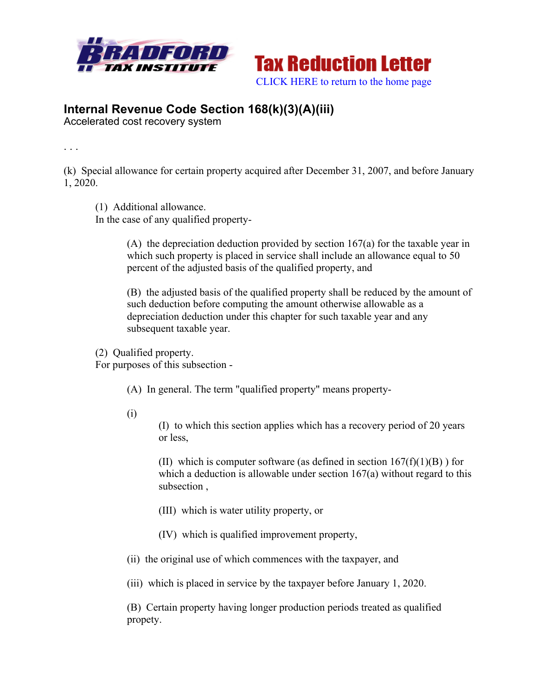



## **Internal Revenue Code Section 168(k)(3)(A)(iii)**

Accelerated cost recovery system

. . .

(k) Special allowance for certain property acquired after December 31, 2007, and before January 1, 2020.

(1) Additional allowance.

In the case of any qualified property-

(A) the depreciation deduction provided by section 167(a) for the taxable year in which such property is placed in service shall include an allowance equal to 50 percent of the adjusted basis of the qualified property, and

(B) the adjusted basis of the qualified property shall be reduced by the amount of such deduction before computing the amount otherwise allowable as a depreciation deduction under this chapter for such taxable year and any subsequent taxable year.

(2) Qualified property.

For purposes of this subsection -

(A) In general. The term "qualified property" means property-

(i)

(I) to which this section applies which has a recovery period of 20 years or less,

(II) which is computer software (as defined in section  $167(f)(1)(B)$ ) for which a deduction is allowable under section  $167(a)$  without regard to this subsection ,

- (III) which is water utility property, or
- (IV) which is qualified improvement property,
- (ii) the original use of which commences with the taxpayer, and

(iii) which is placed in service by the taxpayer before January 1, 2020.

(B) Certain property having longer production periods treated as qualified propety.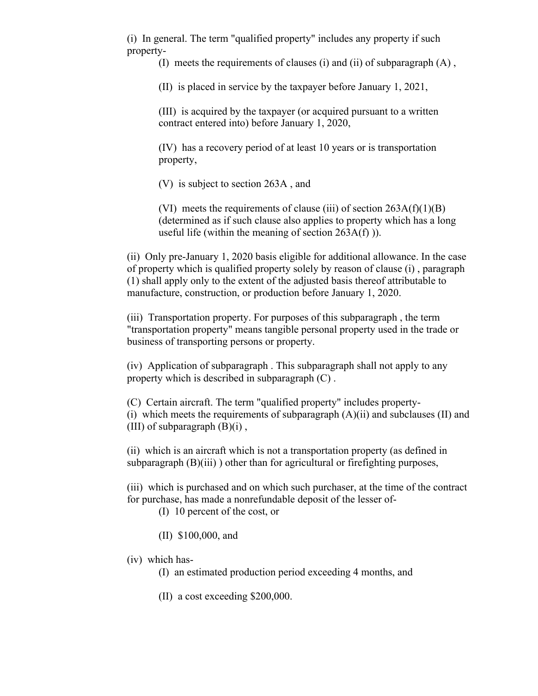(i) In general. The term "qualified property" includes any property if such property-

(I) meets the requirements of clauses (i) and (ii) of subparagraph (A) ,

(II) is placed in service by the taxpayer before January 1, 2021,

(III) is acquired by the taxpayer (or acquired pursuant to a written contract entered into) before January 1, 2020,

(IV) has a recovery period of at least 10 years or is transportation property,

(V) is subject to section 263A , and

(VI) meets the requirements of clause (iii) of section  $263A(f)(1)(B)$ (determined as if such clause also applies to property which has a long useful life (within the meaning of section  $263A(f)$ )).

(ii) Only pre-January 1, 2020 basis eligible for additional allowance. In the case of property which is qualified property solely by reason of clause (i) , paragraph (1) shall apply only to the extent of the adjusted basis thereof attributable to manufacture, construction, or production before January 1, 2020.

(iii) Transportation property. For purposes of this subparagraph , the term "transportation property" means tangible personal property used in the trade or business of transporting persons or property.

(iv) Application of subparagraph . This subparagraph shall not apply to any property which is described in subparagraph (C) .

(C) Certain aircraft. The term "qualified property" includes property- (i) which meets the requirements of subparagraph  $(A)(ii)$  and subclauses  $(II)$  and (III) of subparagraph  $(B)(i)$ ,

(ii) which is an aircraft which is not a transportation property (as defined in subparagraph  $(B)(iii)$  ) other than for agricultural or firefighting purposes,

(iii) which is purchased and on which such purchaser, at the time of the contract for purchase, has made a nonrefundable deposit of the lesser of-

(I) 10 percent of the cost, or

(II) \$100,000, and

(iv) which has-

(I) an estimated production period exceeding 4 months, and

(II) a cost exceeding \$200,000.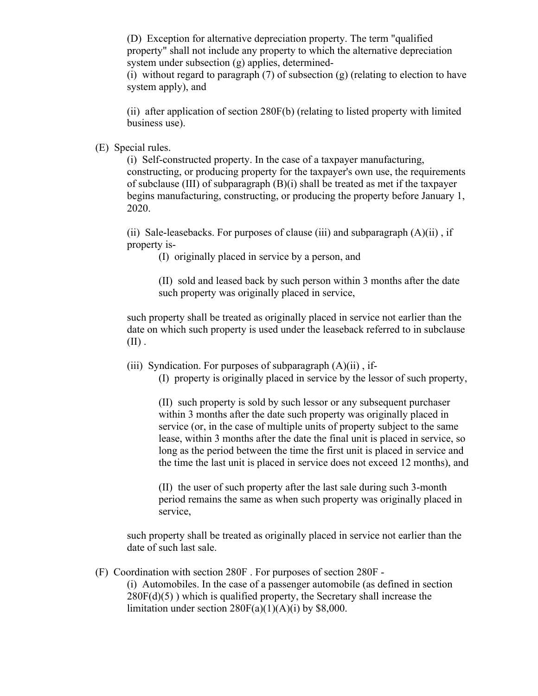(D) Exception for alternative depreciation property. The term "qualified property" shall not include any property to which the alternative depreciation system under subsection (g) applies, determined-

(i) without regard to paragraph  $(7)$  of subsection  $(g)$  (relating to election to have system apply), and

(ii) after application of section 280F(b) (relating to listed property with limited business use).

(E) Special rules.

(i) Self-constructed property. In the case of a taxpayer manufacturing, constructing, or producing property for the taxpayer's own use, the requirements of subclause (III) of subparagraph  $(B)(i)$  shall be treated as met if the taxpayer begins manufacturing, constructing, or producing the property before January 1, 2020.

(ii) Sale-leasebacks. For purposes of clause (iii) and subparagraph  $(A)(ii)$ , if property is-

(I) originally placed in service by a person, and

(II) sold and leased back by such person within 3 months after the date such property was originally placed in service,

such property shall be treated as originally placed in service not earlier than the date on which such property is used under the leaseback referred to in subclause  $(II)$ .

(iii) Syndication. For purposes of subparagraph  $(A)(ii)$ , if-

(I) property is originally placed in service by the lessor of such property,

(II) such property is sold by such lessor or any subsequent purchaser within 3 months after the date such property was originally placed in service (or, in the case of multiple units of property subject to the same lease, within 3 months after the date the final unit is placed in service, so long as the period between the time the first unit is placed in service and the time the last unit is placed in service does not exceed 12 months), and

(II) the user of such property after the last sale during such 3-month period remains the same as when such property was originally placed in service,

such property shall be treated as originally placed in service not earlier than the date of such last sale.

(F) Coordination with section 280F . For purposes of section 280F -

(i) Automobiles. In the case of a passenger automobile (as defined in section  $280F(d)(5)$ ) which is qualified property, the Secretary shall increase the limitation under section  $280F(a)(1)(A)(i)$  by \$8,000.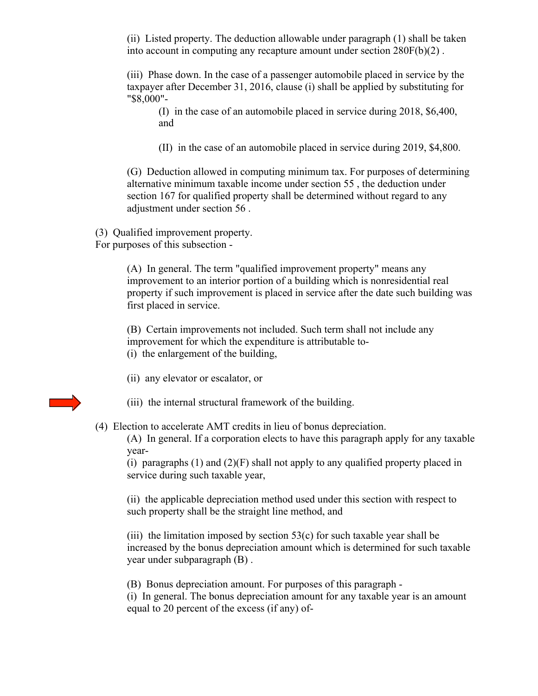(ii) Listed property. The deduction allowable under paragraph (1) shall be taken into account in computing any recapture amount under section 280F(b)(2) .

(iii) Phase down. In the case of a passenger automobile placed in service by the taxpayer after December 31, 2016, clause (i) shall be applied by substituting for "\$8,000"-

(I) in the case of an automobile placed in service during 2018, \$6,400, and

(II) in the case of an automobile placed in service during 2019, \$4,800.

(G) Deduction allowed in computing minimum tax. For purposes of determining alternative minimum taxable income under section 55 , the deduction under section 167 for qualified property shall be determined without regard to any adjustment under section 56 .

(3) Qualified improvement property. For purposes of this subsection -

> (A) In general. The term "qualified improvement property" means any improvement to an interior portion of a building which is nonresidential real property if such improvement is placed in service after the date such building was first placed in service.

(B) Certain improvements not included. Such term shall not include any improvement for which the expenditure is attributable to-

(i) the enlargement of the building,

(ii) any elevator or escalator, or

(iii) the internal structural framework of the building.

(4) Election to accelerate AMT credits in lieu of bonus depreciation.

(A) In general. If a corporation elects to have this paragraph apply for any taxable year-

(i) paragraphs  $(1)$  and  $(2)(F)$  shall not apply to any qualified property placed in service during such taxable year,

(ii) the applicable depreciation method used under this section with respect to such property shall be the straight line method, and

(iii) the limitation imposed by section  $53(c)$  for such taxable year shall be increased by the bonus depreciation amount which is determined for such taxable year under subparagraph (B) .

(B) Bonus depreciation amount. For purposes of this paragraph -

(i) In general. The bonus depreciation amount for any taxable year is an amount equal to 20 percent of the excess (if any) of-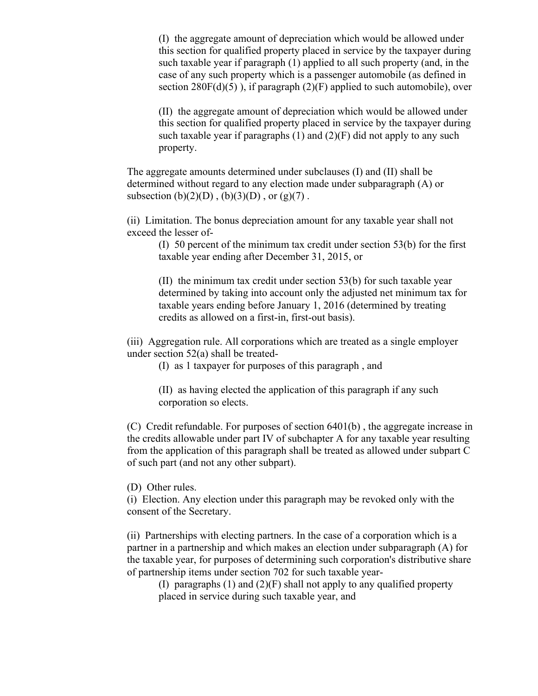(I) the aggregate amount of depreciation which would be allowed under this section for qualified property placed in service by the taxpayer during such taxable year if paragraph (1) applied to all such property (and, in the case of any such property which is a passenger automobile (as defined in section  $280F(d)(5)$ , if paragraph  $(2)(F)$  applied to such automobile), over

(II) the aggregate amount of depreciation which would be allowed under this section for qualified property placed in service by the taxpayer during such taxable year if paragraphs  $(1)$  and  $(2)(F)$  did not apply to any such property.

The aggregate amounts determined under subclauses (I) and (II) shall be determined without regard to any election made under subparagraph (A) or subsection  $(b)(2)(D)$ ,  $(b)(3)(D)$ , or  $(g)(7)$ .

(ii) Limitation. The bonus depreciation amount for any taxable year shall not exceed the lesser of-

(I) 50 percent of the minimum tax credit under section 53(b) for the first taxable year ending after December 31, 2015, or

(II) the minimum tax credit under section 53(b) for such taxable year determined by taking into account only the adjusted net minimum tax for taxable years ending before January 1, 2016 (determined by treating credits as allowed on a first-in, first-out basis).

(iii) Aggregation rule. All corporations which are treated as a single employer under section 52(a) shall be treated-

(I) as 1 taxpayer for purposes of this paragraph , and

(II) as having elected the application of this paragraph if any such corporation so elects.

(C) Credit refundable. For purposes of section 6401(b) , the aggregate increase in the credits allowable under part IV of subchapter A for any taxable year resulting from the application of this paragraph shall be treated as allowed under subpart C of such part (and not any other subpart).

(D) Other rules.

(i) Election. Any election under this paragraph may be revoked only with the consent of the Secretary.

(ii) Partnerships with electing partners. In the case of a corporation which is a partner in a partnership and which makes an election under subparagraph (A) for the taxable year, for purposes of determining such corporation's distributive share of partnership items under section 702 for such taxable year-

(I) paragraphs (1) and (2)(F) shall not apply to any qualified property placed in service during such taxable year, and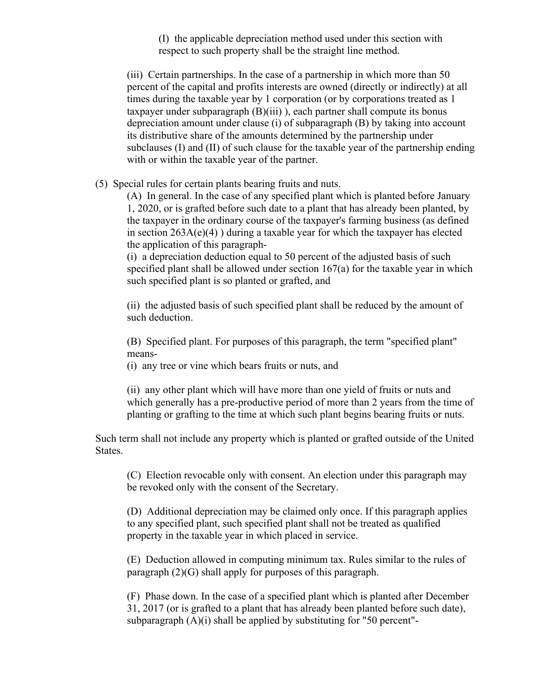(I) the applicable depreciation method used under this section with respect to such property shall be the straight line method.

(iii) Certain partnerships. In the case of a partnership in which more than 50 percent of the capital and profits interests are owned (directly or indirectly) at all times during the taxable year by 1 corporation (or by corporations treated as 1 taxpayer under subparagraph  $(B)(iii)$ ), each partner shall compute its bonus depreciation amount under clause (i) of subparagraph (B) by taking into account its distributive share of the amounts determined by the partnership under subclauses (I) and (II) of such clause for the taxable year of the partnership ending with or within the taxable year of the partner.

(5) Special rules for certain plants bearing fruits and nuts.

(A) In general. In the case of any specified plant which is planted before January 1, 2020, or is grafted before such date to a plant that has already been planted, by the taxpayer in the ordinary course of the taxpayer's farming business (as defined in section  $263A(e)(4)$ ) during a taxable year for which the taxpayer has elected the application of this paragraph-

(i) a depreciation deduction equal to 50 percent of the adjusted basis of such specified plant shall be allowed under section 167(a) for the taxable year in which such specified plant is so planted or grafted, and

(ii) the adjusted basis of such specified plant shall be reduced by the amount of such deduction.

(B) Specified plant. For purposes of this paragraph, the term "specified plant" means-

(i) any tree or vine which bears fruits or nuts, and

(ii) any other plant which will have more than one yield of fruits or nuts and which generally has a pre-productive period of more than 2 years from the time of planting or grafting to the time at which such plant begins bearing fruits or nuts.

Such term shall not include any property which is planted or grafted outside of the United States.

(C) Election revocable only with consent. An election under this paragraph may be revoked only with the consent of the Secretary.

(D) Additional depreciation may be claimed only once. If this paragraph applies to any specified plant, such specified plant shall not be treated as qualified property in the taxable year in which placed in service.

(E) Deduction allowed in computing minimum tax. Rules similar to the rules of paragraph (2)(G) shall apply for purposes of this paragraph.

(F) Phase down. In the case of a specified plant which is planted after December 31, 2017 (or is grafted to a plant that has already been planted before such date), subparagraph (A)(i) shall be applied by substituting for "50 percent"-